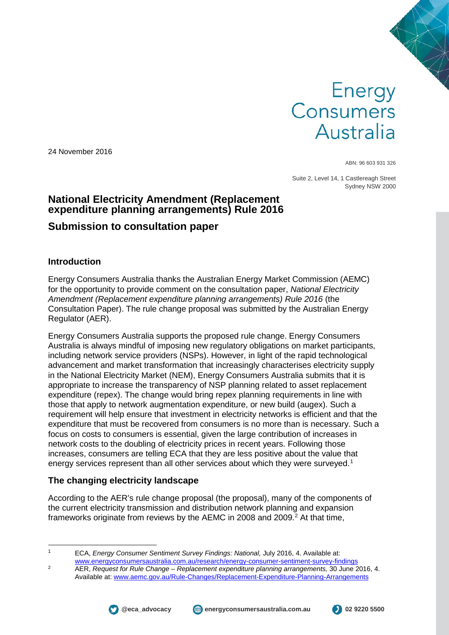# Energy<br>Consumers Australia

24 November 2016

ABN: 96 603 931 326

Suite 2, Level 14, 1 Castlereagh Street Sydney NSW 2000

## **National Electricity Amendment (Replacement expenditure planning arrangements) Rule 2016**

# **Submission to consultation paper**

#### **Introduction**

Energy Consumers Australia thanks the Australian Energy Market Commission (AEMC) for the opportunity to provide comment on the consultation paper, *National Electricity Amendment (Replacement expenditure planning arrangements) Rule 2016* (the Consultation Paper). The rule change proposal was submitted by the Australian Energy Regulator (AER).

Energy Consumers Australia supports the proposed rule change. Energy Consumers Australia is always mindful of imposing new regulatory obligations on market participants, including network service providers (NSPs). However, in light of the rapid technological advancement and market transformation that increasingly characterises electricity supply in the National Electricity Market (NEM), Energy Consumers Australia submits that it is appropriate to increase the transparency of NSP planning related to asset replacement expenditure (repex). The change would bring repex planning requirements in line with those that apply to network augmentation expenditure, or new build (augex). Such a requirement will help ensure that investment in electricity networks is efficient and that the expenditure that must be recovered from consumers is no more than is necessary. Such a focus on costs to consumers is essential, given the large contribution of increases in network costs to the doubling of electricity prices in recent years. Following those increases, consumers are telling ECA that they are less positive about the value that energy services represent than all other services about which they were surveyed.<sup>[1](#page-0-0)</sup>

### **The changing electricity landscape**

According to the AER's rule change proposal (the proposal), many of the components of the current electricity transmission and distribution network planning and expansion frameworks originate from reviews by the AEMC in [2](#page-0-1)008 and 2009.<sup>2</sup> At that time,

<span id="page-0-1"></span>[www.energyconsumersaustralia.com.au/research/energy-consumer-sentiment-survey-findings](http://www.energyconsumersaustralia.com.au/research/energy-consumer-sentiment-survey-findings) <sup>2</sup> AER, *Request for Rule Change – Replacement expenditure planning arrangements,* 30 June 2016, 4.



<span id="page-0-0"></span>

 <sup>1</sup> ECA, *Energy Consumer Sentiment Survey Findings: National,* July 2016, 4. Available at:

Available at: [www.aemc.gov.au/Rule-Changes/Replacement-Expenditure-Planning-Arrangements](http://www.aemc.gov.au/Rule-Changes/Replacement-Expenditure-Planning-Arrangements)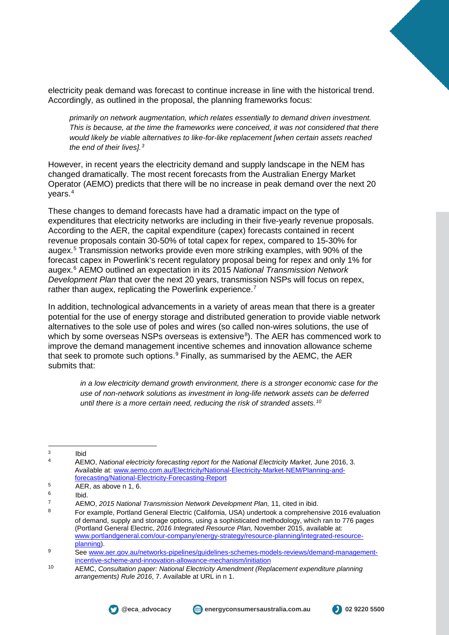electricity peak demand was forecast to continue increase in line with the historical trend. Accordingly, as outlined in the proposal, the planning frameworks focus:

*primarily on network augmentation, which relates essentially to demand driven investment. This is because, at the time the frameworks were conceived, it was not considered that there would likely be viable alternatives to like-for-like replacement [when certain assets reached the end of their lives].[3](#page-1-0)*

However, in recent years the electricity demand and supply landscape in the NEM has changed dramatically. The most recent forecasts from the Australian Energy Market Operator (AEMO) predicts that there will be no increase in peak demand over the next 20 years.[4](#page-1-1)

These changes to demand forecasts have had a dramatic impact on the type of expenditures that electricity networks are including in their five-yearly revenue proposals. According to the AER, the capital expenditure (capex) forecasts contained in recent revenue proposals contain 30-50% of total capex for repex, compared to 15-30% for augex.[5](#page-1-2) Transmission networks provide even more striking examples, with 90% of the forecast capex in Powerlink's recent regulatory proposal being for repex and only 1% for augex.[6](#page-1-3) AEMO outlined an expectation in its 2015 *National Transmission Network Development Plan* that over the next 20 years, transmission NSPs will focus on repex, rather than augex, replicating the Powerlink experience.<sup>[7](#page-1-4)</sup>

In addition, technological advancements in a variety of areas mean that there is a greater potential for the use of energy storage and distributed generation to provide viable network alternatives to the sole use of poles and wires (so called non-wires solutions, the use of which by some overseas NSPs overseas is extensive $^8$  $^8$ ). The AER has commenced work to improve the demand management incentive schemes and innovation allowance scheme that seek to promote such options. $9$  Finally, as summarised by the AEMC, the AER submits that:

*in a low electricity demand growth environment, there is a stronger economic case for the use of non-network solutions as investment in long-life network assets can be deferred until there is a more certain need, reducing the risk of stranded assets.[10](#page-1-7)*

<span id="page-1-0"></span> $3$  Ibid

<span id="page-1-2"></span> $\overline{AER}$ , as above n 1, 6.



<span id="page-1-1"></span><sup>4</sup> AEMO, *National electricity forecasting report for the National Electricity Market*, June 2016, 3. Available at: [www.aemo.com.au/Electricity/National-Electricity-Market-NEM/Planning-and](http://www.aemo.com.au/Electricity/National-Electricity-Market-NEM/Planning-and-forecasting/National-Electricity-Forecasting-Report)[forecasting/National-Electricity-Forecasting-Report](http://www.aemo.com.au/Electricity/National-Electricity-Market-NEM/Planning-and-forecasting/National-Electricity-Forecasting-Report)

<span id="page-1-4"></span><span id="page-1-3"></span><sup>6</sup> Ibid. 7 AEMO, *2015 National Transmission Network Development Plan,* 11, cited in ibid.

<span id="page-1-5"></span><sup>8</sup> For example, Portland General Electric (California, USA) undertook a comprehensive 2016 evaluation of demand, supply and storage options, using a sophisticated methodology, which ran to 776 pages (Portland General Electric, *2016 Integrated Resource Plan,* November 2015, available at: [www.portlandgeneral.com/our-company/energy-strategy/resource-planning/integrated-resource](http://www.portlandgeneral.com/our-company/energy-strategy/resource-planning/integrated-resource-planning)[planning\)](http://www.portlandgeneral.com/our-company/energy-strategy/resource-planning/integrated-resource-planning).

<span id="page-1-6"></span><sup>9</sup> See [www.aer.gov.au/networks-pipelines/guidelines-schemes-models-reviews/demand-management](http://www.aer.gov.au/networks-pipelines/guidelines-schemes-models-reviews/demand-management-incentive-scheme-and-innovation-allowance-mechanism/initiation)[incentive-scheme-and-innovation-allowance-mechanism/initiation](http://www.aer.gov.au/networks-pipelines/guidelines-schemes-models-reviews/demand-management-incentive-scheme-and-innovation-allowance-mechanism/initiation)

<span id="page-1-7"></span><sup>10</sup> AEMC, *Consultation paper: National Electricity Amendment (Replacement expenditure planning arrangements) Rule 2016*, 7. Available at URL in n 1.